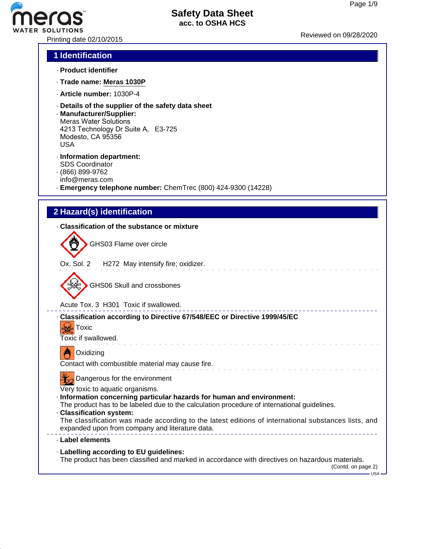# ATER SOLUTIONS<br>Printing date 02/10/2015 Reviewed on 09/28/2020

### **Safety Data Sheet acc. to OSHA HCS**

# **1 Identification**

- · **Product identifier**
- · **Trade name: Meras 1030P**
- · **Article number:** 1030P-4
- · **Details of the supplier of the safety data sheet**
- · **Manufacturer/Supplier:** Meras Water Solutions 4213 Technology Dr Suite A, E3-725 Modesto, CA 95356 USA
- · **Information department:** SDS Coordinator
- · (866) 899-9762
- info@meras.com
- · **Emergency telephone number:** ChemTrec (800) 424-9300 (14228)

# **2 Hazard(s) identification**

| Classification of the substance or mixture                                                                                                                                                                                                                                                                                                                                                                                     |
|--------------------------------------------------------------------------------------------------------------------------------------------------------------------------------------------------------------------------------------------------------------------------------------------------------------------------------------------------------------------------------------------------------------------------------|
| GHS03 Flame over circle                                                                                                                                                                                                                                                                                                                                                                                                        |
| Ox. Sol. 2 H272 May intensify fire; oxidizer.                                                                                                                                                                                                                                                                                                                                                                                  |
| <b>GHS06 Skull and crossbones</b>                                                                                                                                                                                                                                                                                                                                                                                              |
| Acute Tox. 3 H301 Toxic if swallowed.                                                                                                                                                                                                                                                                                                                                                                                          |
| - Classification according to Directive 67/548/EEC or Directive 1999/45/EC<br><b>Cold</b> Toxic<br>Toxic if swallowed.                                                                                                                                                                                                                                                                                                         |
| Oxidizing<br>Contact with combustible material may cause fire.                                                                                                                                                                                                                                                                                                                                                                 |
| Dangerous for the environment<br>Very toxic to aquatic organisms.<br>Information concerning particular hazards for human and environment:<br>The product has to be labeled due to the calculation procedure of international guidelines.<br>· Classification system:<br>The classification was made according to the latest editions of international substances lists, and<br>expanded upon from company and literature data. |
| · Label elements                                                                                                                                                                                                                                                                                                                                                                                                               |
| · Labelling according to EU guidelines:<br>The product has been classified and marked in accordance with directives on hazardous materials.<br>(Contd. on page 2)<br>– USA –                                                                                                                                                                                                                                                   |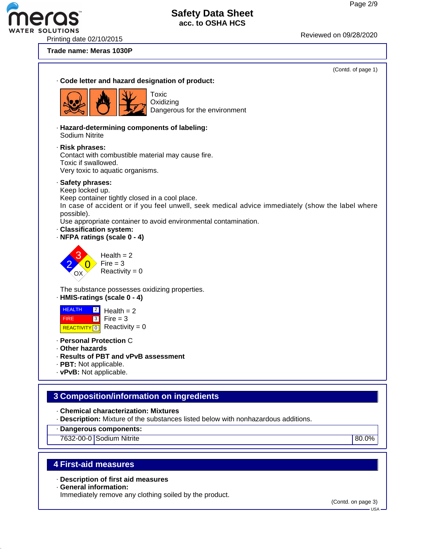ER SOLUTIONS<br>Printing date 02/10/2015 Reviewed on 09/28/2020

#### **Trade name: Meras 1030P**



· **General information:**

Immediately remove any clothing soiled by the product.

(Contd. on page 3)

USA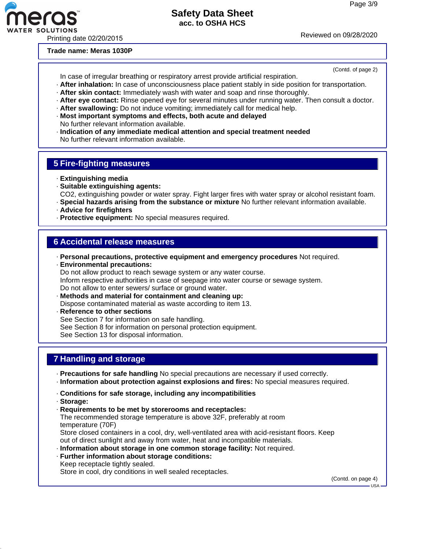(Contd. of page 2)

#### **Safety Data Sheet acc. to OSHA HCS**

R SOLUTIONS<br>Printing date 02/20/2015 Reviewed on 09/28/2020

**Trade name: Meras 1030P**

In case of irregular breathing or respiratory arrest provide artificial respiration.

- · **After inhalation:** In case of unconsciousness place patient stably in side position for transportation.
- · **After skin contact:** Immediately wash with water and soap and rinse thoroughly.
- · **After eye contact:** Rinse opened eye for several minutes under running water. Then consult a doctor.
- · **After swallowing:** Do not induce vomiting; immediately call for medical help.
- · **Most important symptoms and effects, both acute and delayed** No further relevant information available.
- · **Indication of any immediate medical attention and special treatment needed** No further relevant information available.

#### **5 Fire-fighting measures**

- · **Extinguishing media**
- · **Suitable extinguishing agents:**
- CO2, extinguishing powder or water spray. Fight larger fires with water spray or alcohol resistant foam.
- · **Special hazards arising from the substance or mixture** No further relevant information available.
- · **Advice for firefighters**
- · **Protective equipment:** No special measures required.

#### **6 Accidental release measures**

- · **Personal precautions, protective equipment and emergency procedures** Not required.
- · **Environmental precautions:** Do not allow product to reach sewage system or any water course. Inform respective authorities in case of seepage into water course or sewage system. Do not allow to enter sewers/ surface or ground water.
- · **Methods and material for containment and cleaning up:** Dispose contaminated material as waste according to item 13.
- · **Reference to other sections** See Section 7 for information on safe handling. See Section 8 for information on personal protection equipment. See Section 13 for disposal information.

#### **7 Handling and storage**

- · **Precautions for safe handling** No special precautions are necessary if used correctly.
- · **Information about protection against explosions and fires:** No special measures required.
- · **Conditions for safe storage, including any incompatibilities**
- · **Storage:**
- · **Requirements to be met by storerooms and receptacles:**

The recommended storage temperature is above 32F, preferably at room temperature (70F)

Store closed containers in a cool, dry, well-ventilated area with acid-resistant floors. Keep out of direct sunlight and away from water, heat and incompatible materials.

- · **Information about storage in one common storage facility:** Not required.
- · **Further information about storage conditions:** Keep receptacle tightly sealed.

Store in cool, dry conditions in well sealed receptacles.

(Contd. on page 4)

 $-1$ ISA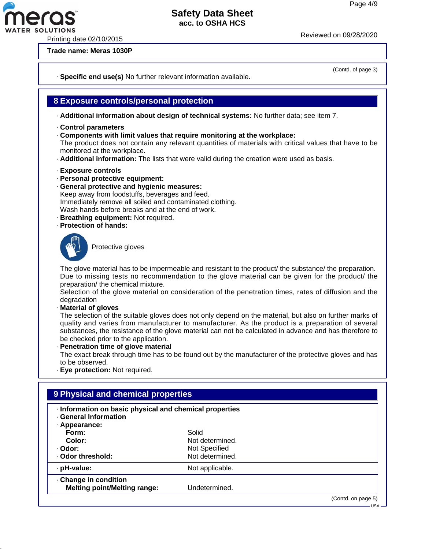(Contd. of page 3)

#### **Safety Data Sheet acc. to OSHA HCS**

R SOLUTIONS<br>Printing date 02/10/2015 Reviewed on 09/28/2020

**Trade name: Meras 1030P**

· **Specific end use(s)** No further relevant information available.

#### **8 Exposure controls/personal protection**

· **Additional information about design of technical systems:** No further data; see item 7.

- · **Control parameters**
- · **Components with limit values that require monitoring at the workplace:**

The product does not contain any relevant quantities of materials with critical values that have to be monitored at the workplace.

- · **Additional information:** The lists that were valid during the creation were used as basis.
- · **Exposure controls**
- · **Personal protective equipment:**
- · **General protective and hygienic measures:** Keep away from foodstuffs, beverages and feed. Immediately remove all soiled and contaminated clothing. Wash hands before breaks and at the end of work.
- · **Breathing equipment:** Not required.
- · **Protection of hands:**



Protective gloves

The glove material has to be impermeable and resistant to the product/ the substance/ the preparation. Due to missing tests no recommendation to the glove material can be given for the product/ the preparation/ the chemical mixture.

Selection of the glove material on consideration of the penetration times, rates of diffusion and the degradation

· **Material of gloves**

The selection of the suitable gloves does not only depend on the material, but also on further marks of quality and varies from manufacturer to manufacturer. As the product is a preparation of several substances, the resistance of the glove material can not be calculated in advance and has therefore to be checked prior to the application.

· **Penetration time of glove material**

The exact break through time has to be found out by the manufacturer of the protective gloves and has to be observed.

· **Eye protection:** Not required.

| · Information on basic physical and chemical properties |                    |
|---------------------------------------------------------|--------------------|
|                                                         |                    |
| Solid                                                   |                    |
| Not determined.                                         |                    |
| Not Specified                                           |                    |
| Not determined.                                         |                    |
| Not applicable.                                         |                    |
|                                                         |                    |
| Undetermined.                                           |                    |
|                                                         | (Contd. on page 5) |
|                                                         |                    |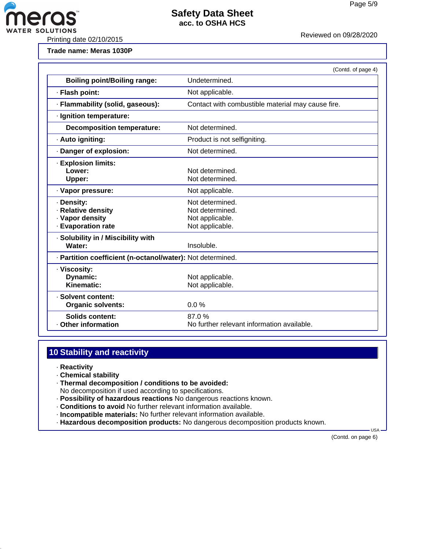

FER SOLUTIONS<br>Printing date 02/10/2015 Printing date 02/10/2015

ero

**Trade name: Meras 1030P**

|                                                                           | (Contd. of page 4)                                                       |  |
|---------------------------------------------------------------------------|--------------------------------------------------------------------------|--|
| <b>Boiling point/Boiling range:</b>                                       | Undetermined.                                                            |  |
| · Flash point:                                                            | Not applicable.                                                          |  |
| · Flammability (solid, gaseous):                                          | Contact with combustible material may cause fire.                        |  |
| · Ignition temperature:                                                   |                                                                          |  |
| <b>Decomposition temperature:</b>                                         | Not determined.                                                          |  |
| · Auto igniting:                                                          | Product is not selfigniting.                                             |  |
| Danger of explosion:                                                      | Not determined.                                                          |  |
| <b>Explosion limits:</b><br>Lower:<br>Upper:                              | Not determined.<br>Not determined.                                       |  |
| · Vapor pressure:                                                         | Not applicable.                                                          |  |
| · Density:<br>· Relative density<br>· Vapor density<br>· Evaporation rate | Not determined.<br>Not determined.<br>Not applicable.<br>Not applicable. |  |
| · Solubility in / Miscibility with<br>Water:                              | Insoluble.                                                               |  |
| · Partition coefficient (n-octanol/water): Not determined.                |                                                                          |  |
| · Viscosity:<br>Dynamic:<br>Kinematic:                                    | Not applicable.<br>Not applicable.                                       |  |
| · Solvent content:<br><b>Organic solvents:</b>                            | 0.0%                                                                     |  |
| <b>Solids content:</b><br>Other information                               | 87.0%<br>No further relevant information available.                      |  |

# **10 Stability and reactivity**

- · **Reactivity**
- · **Chemical stability**
- · **Thermal decomposition / conditions to be avoided:**
- No decomposition if used according to specifications.
- · **Possibility of hazardous reactions** No dangerous reactions known.
- · **Conditions to avoid** No further relevant information available.
- · **Incompatible materials:** No further relevant information available.
- · **Hazardous decomposition products:** No dangerous decomposition products known.

(Contd. on page 6)

USA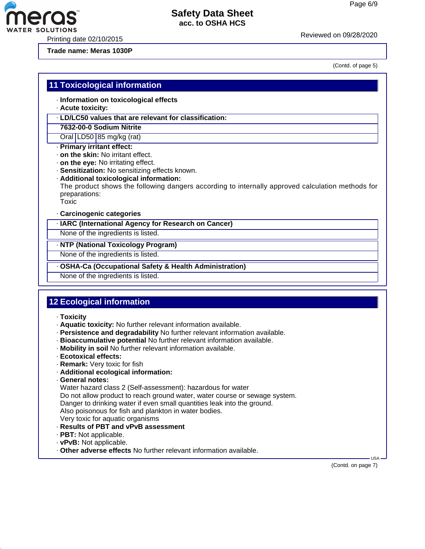Printing date 02/10/2015 Reviewed on 09/28/20<sup>20</sup>

**Trade name: Meras 1030P**

**11 Toxicological information**

(Contd. of page 5)

#### · **Information on toxicological effects** · **Acute toxicity:** · **LD/LC50 values that are relevant for classification: 7632-00-0 Sodium Nitrite** Oral LD50 85 mg/kg (rat) · **Primary irritant effect:** · **on the skin:** No irritant effect. · **on the eye:** No irritating effect. · **Sensitization:** No sensitizing effects known. · **Additional toxicological information:** The product shows the following dangers according to internally approved calculation methods for preparations: Toxic · **Carcinogenic categories** · **IARC (International Agency for Research on Cancer)**

None of the ingredients is listed.

#### · **NTP (National Toxicology Program)**

None of the ingredients is listed.

· **OSHA-Ca (Occupational Safety & Health Administration)**

None of the ingredients is listed.

# **12 Ecological information**

- · **Toxicity**
- · **Aquatic toxicity:** No further relevant information available.
- · **Persistence and degradability** No further relevant information available.
- · **Bioaccumulative potential** No further relevant information available.
- · **Mobility in soil** No further relevant information available.
- · **Ecotoxical effects:**
- · **Remark:** Very toxic for fish
- · **Additional ecological information:**
- · **General notes:**

Water hazard class 2 (Self-assessment): hazardous for water

Do not allow product to reach ground water, water course or sewage system.

Danger to drinking water if even small quantities leak into the ground.

Also poisonous for fish and plankton in water bodies.

- Very toxic for aquatic organisms
- · **Results of PBT and vPvB assessment**
- · **PBT:** Not applicable.
- · **vPvB:** Not applicable.
- · **Other adverse effects** No further relevant information available.

(Contd. on page 7)

USA

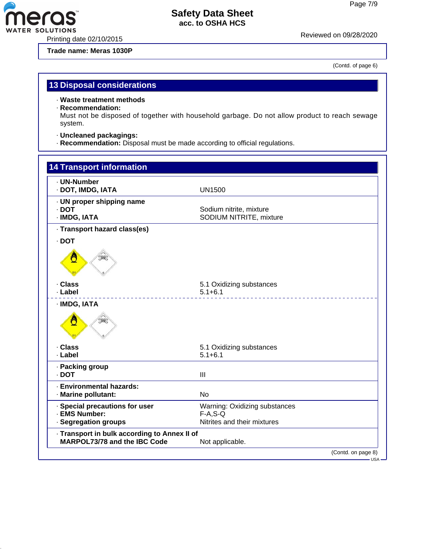Printing date 02/10/2015 Reviewed on 09/28/20<sup>20</sup>

**eras** 

**Trade name: Meras 1030P**

(Contd. of page 6)

## **13 Disposal considerations**

· **Waste treatment methods**

#### · **Recommendation:**

Must not be disposed of together with household garbage. Do not allow product to reach sewage system.

- · **Uncleaned packagings:**
- · **Recommendation:** Disposal must be made according to official regulations.

| <b>14 Transport information</b>                                              |                                                                            |         |
|------------------------------------------------------------------------------|----------------------------------------------------------------------------|---------|
| - UN-Number<br>· DOT, IMDG, IATA                                             | <b>UN1500</b>                                                              |         |
| · UN proper shipping name<br>$\cdot$ DOT<br>· IMDG, IATA                     | Sodium nitrite, mixture<br>SODIUM NITRITE, mixture                         |         |
| · Transport hazard class(es)                                                 |                                                                            |         |
| $\cdot$ DOT                                                                  |                                                                            |         |
| Ö                                                                            |                                                                            |         |
| · Class                                                                      | 5.1 Oxidizing substances                                                   |         |
| · Label                                                                      | $5.1 + 6.1$                                                                |         |
| · IMDG, IATA<br>Ô                                                            |                                                                            |         |
| · Class                                                                      | 5.1 Oxidizing substances                                                   |         |
| · Label                                                                      | $5.1 + 6.1$                                                                |         |
| · Packing group<br>$\cdot$ DOT                                               | III                                                                        |         |
| · Environmental hazards:<br>· Marine pollutant:                              | <b>No</b>                                                                  |         |
| · Special precautions for user<br><b>EMS Number:</b><br>· Segregation groups | Warning: Oxidizing substances<br>$F-A, S-Q$<br>Nitrites and their mixtures |         |
| · Transport in bulk according to Annex II of<br>MARPOL73/78 and the IBC Code | Not applicable.                                                            |         |
|                                                                              | (Contd. on page 8)                                                         |         |
|                                                                              |                                                                            | – USA – |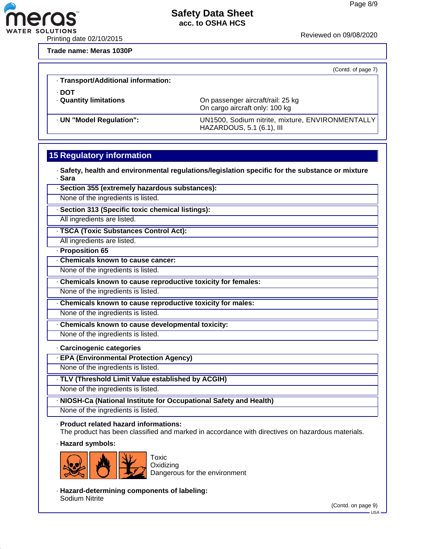

R SOLUTIONS<br>Printing date 02/10/2015 Reviewed on 09/08/2020

**Trade name: Meras 1030P**

ero

(Contd. of page 7)

| · Transport/Additional information:  |                                                                               |
|--------------------------------------|-------------------------------------------------------------------------------|
| · DOT<br><b>Quantity limitations</b> | On passenger aircraft/rail: 25 kg<br>On cargo aircraft only: 100 kg           |
| · UN "Model Regulation":             | UN1500, Sodium nitrite, mixture, ENVIRONMENTALLY<br>HAZARDOUS, 5.1 (6.1), III |

# **15 Regulatory information**

· **Safety, health and environmental regulations/legislation specific for the substance or mixture** · **Sara**

· **Section 355 (extremely hazardous substances):**

None of the ingredients is listed.

· **Section 313 (Specific toxic chemical listings):**

All ingredients are listed.

· **TSCA (Toxic Substances Control Act):**

All ingredients are listed.

· **Proposition 65**

· **Chemicals known to cause cancer:**

None of the ingredients is listed.

· **Chemicals known to cause reproductive toxicity for females:**

None of the ingredients is listed.

· **Chemicals known to cause reproductive toxicity for males:**

None of the ingredients is listed.

· **Chemicals known to cause developmental toxicity:**

None of the ingredients is listed.

#### · **Carcinogenic categories**

· **EPA (Environmental Protection Agency)**

None of the ingredients is listed.

· **TLV (Threshold Limit Value established by ACGIH)**

None of the ingredients is listed.

· **NIOSH-Ca (National Institute for Occupational Safety and Health)**

None of the ingredients is listed.

· **Product related hazard informations:**

The product has been classified and marked in accordance with directives on hazardous materials.

· **Hazard symbols:**



**Oxidizing** Dangerous for the environment

· **Hazard-determining components of labeling:** Sodium Nitrite

(Contd. on page 9)

USA